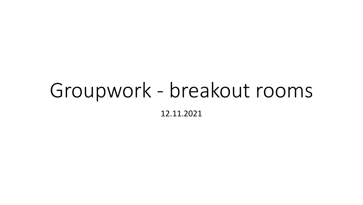# Groupwork - breakout rooms 12.11.2021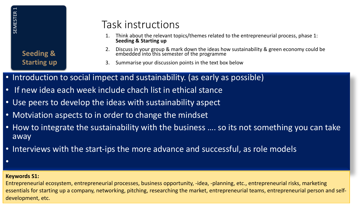**Seeding & Starting up**

# Task instructions

- 1. Think about the relevant topics/themes related to the entrepreneurial process, phase 1: **Seeding & Starting up**
- 2. Discuss in your group & mark down the ideas how sustainability & green economy could be embedded into this semester of the programme
- 3. Summarise your discussion points in the text box below
- Introduction to social impect and sustainability. (as early as possible)
- If new idea each week include chach list in ethical stance
- Use peers to develop the ideas with sustainability aspect
- Motviation aspects to in order to change the mindset
- How to integrate the sustainability with the business .... so its not something you can take away
- Interviews with the start-ips the more advance and successful, as role models
- •

#### **Keywords S1:**

Entrepreneurial ecosystem, entrepreneurial processes, business opportunity, -idea, -planning, etc., entrepreneurial risks, marketing essentials for starting up a company, networking, pitching, researching the market, entrepreneurial teams, entrepreneurial person and self-Example Seeding<br>
Seeding<br>
Starting<br>
Starting<br>
Thew ide<br>
Starting<br>
Thew ide<br>
Starting<br>
Not Viation<br>
Thew to int<br>
Therviews<br>
Starting<br>
Starting<br>
Starting<br>
Starting<br>
Starting<br>
Starting<br>
Starting<br>
Starting<br>
Starting<br>
Starting<br>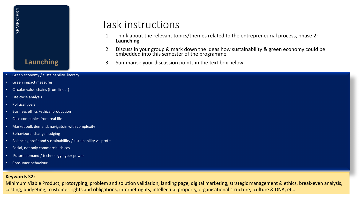# Task instructions

- 1. Think about the relevant topics/themes related to the entrepreneurial process, phase 2: **Launching**
- 2. Discuss in your group & mark down the ideas how sustainability & green economy could be embedded into this semester of the programme
- 3. Summarise your discussion points in the text box below

| $\mathbf{\sim}$<br>ER<br><b>SEMEST</b><br><b>Launching</b>                                                                                                                                                                                                                                                                      | Task instructions<br>Think about the relevant topics/themes related to the entrepreneurial process, phase 2:<br>1.<br>Launching<br>Discuss in your group & mark down the ideas how sustainability & green economy could be embedded into this semester of the programme<br>2.<br>Summarise your discussion points in the text box below<br>3. |
|---------------------------------------------------------------------------------------------------------------------------------------------------------------------------------------------------------------------------------------------------------------------------------------------------------------------------------|-----------------------------------------------------------------------------------------------------------------------------------------------------------------------------------------------------------------------------------------------------------------------------------------------------------------------------------------------|
| • Green economy / sustainability literacy                                                                                                                                                                                                                                                                                       |                                                                                                                                                                                                                                                                                                                                               |
| • Green impact measures                                                                                                                                                                                                                                                                                                         |                                                                                                                                                                                                                                                                                                                                               |
| • Circular value chains (from linear)                                                                                                                                                                                                                                                                                           |                                                                                                                                                                                                                                                                                                                                               |
| • Life cycle analysis                                                                                                                                                                                                                                                                                                           |                                                                                                                                                                                                                                                                                                                                               |
| • Political goals                                                                                                                                                                                                                                                                                                               |                                                                                                                                                                                                                                                                                                                                               |
| • Business ethics / ethical production                                                                                                                                                                                                                                                                                          |                                                                                                                                                                                                                                                                                                                                               |
| • Case companies from real life                                                                                                                                                                                                                                                                                                 |                                                                                                                                                                                                                                                                                                                                               |
| • Market pull, demand, navigatoin with complexity                                                                                                                                                                                                                                                                               |                                                                                                                                                                                                                                                                                                                                               |
| Behavioural change nudging<br>$\bullet$                                                                                                                                                                                                                                                                                         |                                                                                                                                                                                                                                                                                                                                               |
| Balancing profit and sustainablility /sustainability vs. profit                                                                                                                                                                                                                                                                 |                                                                                                                                                                                                                                                                                                                                               |
| • Social, not only commercial chices                                                                                                                                                                                                                                                                                            |                                                                                                                                                                                                                                                                                                                                               |
| Future demand / technology hyper power                                                                                                                                                                                                                                                                                          |                                                                                                                                                                                                                                                                                                                                               |
| Consumer behaviour                                                                                                                                                                                                                                                                                                              |                                                                                                                                                                                                                                                                                                                                               |
| <b>Keywords S2:</b><br>Minimum Viable Product, prototyping, problem and solution validation, landing page, digital marketing, strategic management & ethics, break-even analysis,<br>costing, budgeting, customer rights and obligations, internet rights, intellectual property, organisational structure, culture & DNA, etc. |                                                                                                                                                                                                                                                                                                                                               |

#### **Keywords S2:**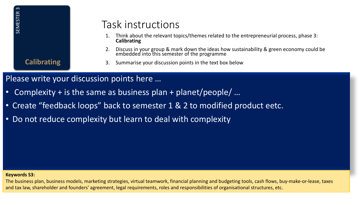**Calibrating**

### Task instructions

- 1. Think about the relevant topics/themes related to the entrepreneurial process, phase 3: **Calibrating**
- 2. Discuss in your group & mark down the ideas how sustainability & green economy could be embedded into this semester of the programme
- 3. Summarise your discussion points in the text box below

### Please write your discussion points here …

- Complexity + is the same as business plan + planet/people/ …
- Create "feedback loops" back to semester 1 & 2 to modified product eetc.
- Do not reduce complexity but learn to deal with complexity

#### **Keywords S3:**

The business plan, business models, marketing strategies, virtual teamwork, financial planning and budgeting tools, cash flows, buy-make-or-lease, taxes Task instructions<br>
and tax law the relevant topics/themes related to the entrepreneurial properties<br>
2. Discussion points center and form the grogornment<br>
Calibrating<br>
2. Discussion points semester of the programme<br>
Calib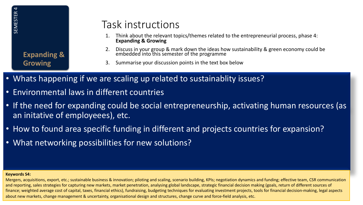**Expanding & Growing**

### Task instructions

- 1. Think about the relevant topics/themes related to the entrepreneurial process, phase 4: **Expanding & Growing**
- 2. Discuss in your group & mark down the ideas how sustainability & green economy could be embedded into this semester of the programme
- 3. Summarise your discussion points in the text box below
- Whats happening if we are scaling up related to sustainablity issues?
- Environmental laws in different countries
- If the need for expanding could be social entrepreneurship, activating human resources (as an initative of employeees), etc.
- How to found area specific funding in different and projects countries for expansion?
- What networking possibilities for new solutions?

#### **Keywords S4:**

Mergers, acquisitions, export, etc.; sustainable business & innovation; piloting and scaling, scenario building, KPIs; negotiation dynamics and funding; effective team, CSR communication and reporting, sales strategies for capturing new markets, market penetration, analysing global landscape, strategic financial decision making (goals, return of different sources of finance; weighted average cost of capital, taxes, financial ethics), fundraising, budgeting techniques for evaluating investment projects, tools for financial decision-making, legal aspects  $\begin{array}{ll} \frac{18}{32} & \frac{1}{32} & \frac{1}{32} & \frac{1}{32} & \frac{1}{32} & \frac{1}{32} & \frac{1}{32} & \frac{1}{32} & \frac{1}{32} & \frac{1}{32} & \frac{1}{32} & \frac{1}{32} & \frac{1}{32} & \frac{1}{32} & \frac{1}{32} & \frac{1}{32} & \frac{1}{32} & \frac{1}{32} & \frac{1}{32} & \frac{1}{32} & \frac{1}{32} & \frac{1}{32} & \frac{1}{32} & \frac{1}{$